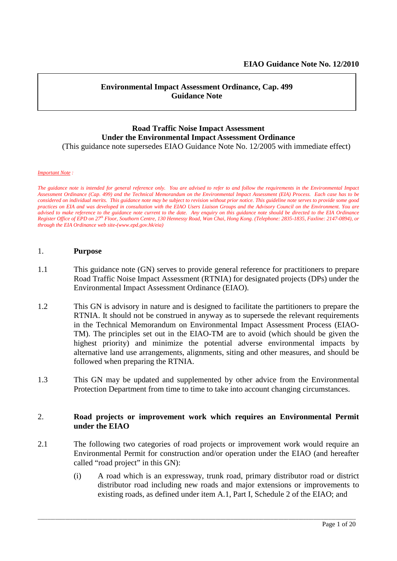#### **Environmental Impact Assessment Ordinance, Cap. 499 Guidance Note**

#### **Road Traffic Noise Impact Assessment Under the Environmental Impact Assessment Ordinance** (This guidance note supersedes EIAO Guidance Note No. 12/2005 with immediate effect)

#### *Important Note :*

*The guidance note is intended for general reference only. You are advised to refer to and follow the requirements in the Environmental Impact Assessment Ordinance (Cap. 499) and the Technical Memorandum on the Environmental Impact Assessment (EIA) Process. Each case has to be considered on individual merits. This guidance note may be subject to revision without prior notice. This guideline note serves to provide some good practices on EIA and was developed in consultation with the EIAO Users Liaison Groups and the Advisory Council on the Environment. You are advised to make reference to the guidance note current to the date. Any enquiry on this guidance note should be directed to the EIA Ordinance Register Office of EPD on 27 th Floor, Southorn Centre, 130 Hennessy Road, Wan Chai, Hong Kong. (Telephone: 2835-1835, Faxline: 2147-0894), or through the EIA Ordinance web site-(www.epd.gov.hk/eia)*

#### 1. **Purpose**

- 1.1 This guidance note (GN) serves to provide general reference for practitioners to prepare Road Traffic Noise Impact Assessment (RTNIA) for designated projects (DPs) under the Environmental Impact Assessment Ordinance (EIAO).
- 1.2 This GN is advisory in nature and is designed to facilitate the partitioners to prepare the RTNIA. It should not be construed in anyway as to supersede the relevant requirements in the Technical Memorandum on Environmental Impact Assessment Process (EIAO-TM). The principles set out in the EIAO-TM are to avoid (which should be given the highest priority) and minimize the potential adverse environmental impacts by alternative land use arrangements, alignments, siting and other measures, and should be followed when preparing the RTNIA.
- 1.3 This GN may be updated and supplemented by other advice from the Environmental Protection Department from time to time to take into account changing circumstances.

#### 2. **Road projects or improvement work which requires an Environmental Permit under the EIAO**

2.1 The following two categories of road projects or improvement work would require an Environmental Permit for construction and/or operation under the EIAO (and hereafter called "road project" in this GN):

\_\_\_\_\_\_\_\_\_\_\_\_\_\_\_\_\_\_\_\_\_\_\_\_\_\_\_\_\_\_\_\_\_\_\_\_\_\_\_\_\_\_\_\_\_\_\_\_\_\_\_\_\_\_\_\_\_\_\_\_\_\_\_\_\_\_\_\_\_\_\_\_\_\_\_\_\_\_\_\_\_\_\_\_\_\_\_\_\_\_\_\_\_\_\_\_\_\_\_\_\_\_\_\_\_\_\_\_\_\_\_\_\_\_\_\_\_\_\_\_\_\_\_\_\_\_\_

(i) A road which is an expressway, trunk road, primary distributor road or district distributor road including new roads and major extensions or improvements to existing roads, as defined under item A.1, Part I, Schedule 2 of the EIAO; and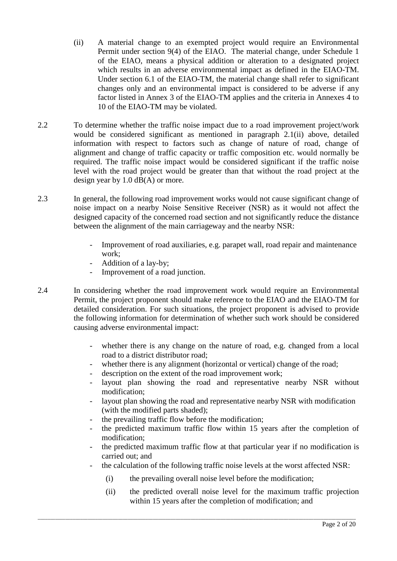- (ii) A material change to an exempted project would require an Environmental Permit under section 9(4) of the EIAO. The material change, under Schedule 1 of the EIAO, means a physical addition or alteration to a designated project which results in an adverse environmental impact as defined in the EIAO-TM. Under section 6.1 of the EIAO-TM, the material change shall refer to significant changes only and an environmental impact is considered to be adverse if any factor listed in Annex 3 of the EIAO-TM applies and the criteria in Annexes 4 to 10 of the EIAO-TM may be violated.
- 2.2 To determine whether the traffic noise impact due to a road improvement project/work would be considered significant as mentioned in paragraph 2.1(ii) above, detailed information with respect to factors such as change of nature of road, change of alignment and change of traffic capacity or traffic composition etc. would normally be required. The traffic noise impact would be considered significant if the traffic noise level with the road project would be greater than that without the road project at the design year by 1.0 dB(A) or more.
- 2.3 In general, the following road improvement works would not cause significant change of noise impact on a nearby Noise Sensitive Receiver (NSR) as it would not affect the designed capacity of the concerned road section and not significantly reduce the distance between the alignment of the main carriageway and the nearby NSR:
	- Improvement of road auxiliaries, e.g. parapet wall, road repair and maintenance work;
	- Addition of a lay-by;
	- Improvement of a road junction.
- 2.4 In considering whether the road improvement work would require an Environmental Permit, the project proponent should make reference to the EIAO and the EIAO-TM for detailed consideration. For such situations, the project proponent is advised to provide the following information for determination of whether such work should be considered causing adverse environmental impact:
	- whether there is any change on the nature of road, e.g. changed from a local road to a district distributor road;
	- whether there is any alignment (horizontal or vertical) change of the road;
	- description on the extent of the road improvement work;
	- layout plan showing the road and representative nearby NSR without modification;
	- layout plan showing the road and representative nearby NSR with modification (with the modified parts shaded);
	- the prevailing traffic flow before the modification:
	- the predicted maximum traffic flow within 15 years after the completion of modification;
	- the predicted maximum traffic flow at that particular year if no modification is carried out; and
	- the calculation of the following traffic noise levels at the worst affected NSR:
		- (i) the prevailing overall noise level before the modification;

\_\_\_\_\_\_\_\_\_\_\_\_\_\_\_\_\_\_\_\_\_\_\_\_\_\_\_\_\_\_\_\_\_\_\_\_\_\_\_\_\_\_\_\_\_\_\_\_\_\_\_\_\_\_\_\_\_\_\_\_\_\_\_\_\_\_\_\_\_\_\_\_\_\_\_\_\_\_\_\_\_\_\_\_\_\_\_\_\_\_\_\_\_\_\_\_\_\_\_\_\_\_\_\_\_\_\_\_\_\_\_\_\_\_\_\_\_\_\_\_\_\_\_\_\_\_\_

(ii) the predicted overall noise level for the maximum traffic projection within 15 years after the completion of modification; and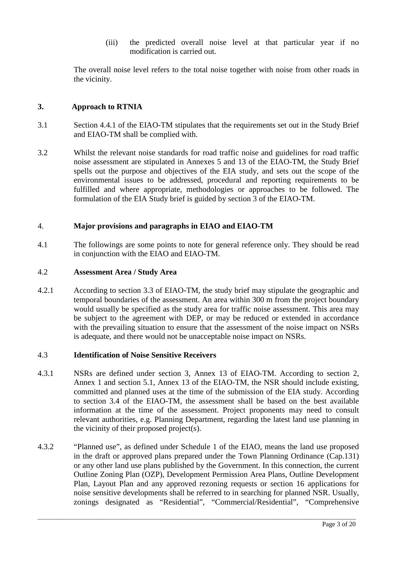(iii) the predicted overall noise level at that particular year if no modification is carried out.

The overall noise level refers to the total noise together with noise from other roads in the vicinity.

#### **3. Approach to RTNIA**

- 3.1 Section 4.4.1 of the EIAO-TM stipulates that the requirements set out in the Study Brief and EIAO-TM shall be complied with.
- 3.2 Whilst the relevant noise standards for road traffic noise and guidelines for road traffic noise assessment are stipulated in Annexes 5 and 13 of the EIAO-TM, the Study Brief spells out the purpose and objectives of the EIA study, and sets out the scope of the environmental issues to be addressed, procedural and reporting requirements to be fulfilled and where appropriate, methodologies or approaches to be followed. The formulation of the EIA Study brief is guided by section 3 of the EIAO-TM.

#### 4. **Major provisions and paragraphs in EIAO and EIAO-TM**

4.1 The followings are some points to note for general reference only. They should be read in conjunction with the EIAO and EIAO-TM.

#### 4.2 **Assessment Area / Study Area**

4.2.1 According to section 3.3 of EIAO-TM, the study brief may stipulate the geographic and temporal boundaries of the assessment. An area within 300 m from the project boundary would usually be specified as the study area for traffic noise assessment. This area may be subject to the agreement with DEP, or may be reduced or extended in accordance with the prevailing situation to ensure that the assessment of the noise impact on NSRs is adequate, and there would not be unacceptable noise impact on NSRs.

#### 4.3 **Identification of Noise Sensitive Receivers**

- 4.3.1 NSRs are defined under section 3, Annex 13 of EIAO-TM. According to section 2, Annex 1 and section 5.1, Annex 13 of the EIAO-TM, the NSR should include existing, committed and planned uses at the time of the submission of the EIA study. According to section 3.4 of the EIAO-TM, the assessment shall be based on the best available information at the time of the assessment. Project proponents may need to consult relevant authorities, e.g. Planning Department, regarding the latest land use planning in the vicinity of their proposed project(s).
- 4.3.2 "Planned use", as defined under Schedule 1 of the EIAO, means the land use proposed in the draft or approved plans prepared under the Town Planning Ordinance (Cap.131) or any other land use plans published by the Government. In this connection, the current Outline Zoning Plan (OZP), Development Permission Area Plans, Outline Development Plan, Layout Plan and any approved rezoning requests or section 16 applications for noise sensitive developments shall be referred to in searching for planned NSR. Usually, zonings designated as "Residential", "Commercial/Residential", "Comprehensive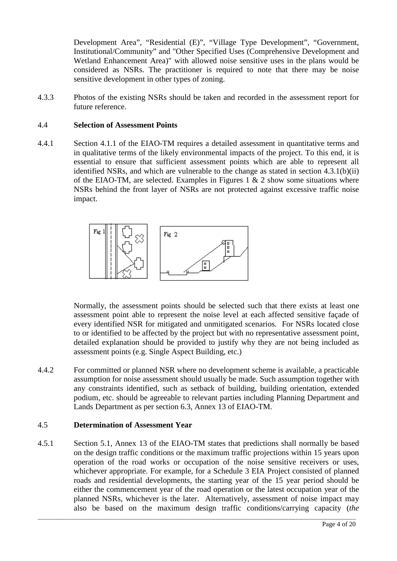Development Area", "Residential (E)", "Village Type Development", "Government, Institutional/Community" and "Other Specified Uses (Comprehensive Development and Wetland Enhancement Area)" with allowed noise sensitive uses in the plans would be considered as NSRs. The practitioner is required to note that there may be noise sensitive development in other types of zoning.

4.3.3 Photos of the existing NSRs should be taken and recorded in the assessment report for future reference.

#### 4.4 **Selection of Assessment Points**

4.4.1 Section 4.1.1 of the EIAO-TM requires a detailed assessment in quantitative terms and in qualitative terms of the likely environmental impacts of the project. To this end, it is essential to ensure that sufficient assessment points which are able to represent all identified NSRs, and which are vulnerable to the change as stated in section 4.3.1(b)(ii) of the EIAO-TM, are selected. Examples in Figures 1  $\&$  2 show some situations where NSRs behind the front layer of NSRs are not protected against excessive traffic noise impact.



Normally, the assessment points should be selected such that there exists at least one assessment point able to represent the noise level at each affected sensitive façade of every identified NSR for mitigated and unmitigated scenarios. For NSRs located close to or identified to be affected by the project but with no representative assessment point, detailed explanation should be provided to justify why they are not being included as assessment points (e.g. Single Aspect Building, etc.)

4.4.2 For committed or planned NSR where no development scheme is available, a practicable assumption for noise assessment should usually be made. Such assumption together with any constraints identified, such as setback of building, building orientation, extended podium, etc. should be agreeable to relevant parties including Planning Department and Lands Department as per section 6.3, Annex 13 of EIAO-TM.

#### 4.5 **Determination of Assessment Year**

4.5.1 Section 5.1, Annex 13 of the EIAO-TM states that predictions shall normally be based on the design traffic conditions or the maximum traffic projections within 15 years upon operation of the road works or occupation of the noise sensitive receivers or uses, whichever appropriate. For example, for a Schedule 3 EIA Project consisted of planned roads and residential developments, the starting year of the 15 year period should be either the commencement year of the road operation or the latest occupation year of the planned NSRs, whichever is the later. Alternatively, assessment of noise impact may also be based on the maximum design traffic conditions/carrying capacity (*the*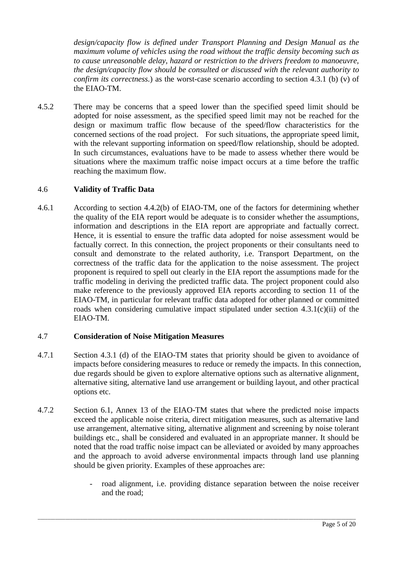*design/capacity flow is defined under Transport Planning and Design Manual as the maximum volume of vehicles using the road without the traffic density becoming such as to cause unreasonable delay, hazard or restriction to the drivers freedom to manoeuvre, the design/capacity flow should be consulted or discussed with the relevant authority to confirm its correctness.*) as the worst-case scenario according to section 4.3.1 (b) (v) of the EIAO-TM.

4.5.2 There may be concerns that a speed lower than the specified speed limit should be adopted for noise assessment, as the specified speed limit may not be reached for the design or maximum traffic flow because of the speed/flow characteristics for the concerned sections of the road project. For such situations, the appropriate speed limit, with the relevant supporting information on speed/flow relationship, should be adopted. In such circumstances, evaluations have to be made to assess whether there would be situations where the maximum traffic noise impact occurs at a time before the traffic reaching the maximum flow.

### 4.6 **Validity of Traffic Data**

4.6.1 According to section 4.4.2(b) of EIAO-TM, one of the factors for determining whether the quality of the EIA report would be adequate is to consider whether the assumptions, information and descriptions in the EIA report are appropriate and factually correct. Hence, it is essential to ensure the traffic data adopted for noise assessment would be factually correct. In this connection, the project proponents or their consultants need to consult and demonstrate to the related authority, i.e. Transport Department, on the correctness of the traffic data for the application to the noise assessment. The project proponent is required to spell out clearly in the EIA report the assumptions made for the traffic modeling in deriving the predicted traffic data. The project proponent could also make reference to the previously approved EIA reports according to section 11 of the EIAO-TM, in particular for relevant traffic data adopted for other planned or committed roads when considering cumulative impact stipulated under section 4.3.1(c)(ii) of the EIAO-TM.

#### 4.7 **Consideration of Noise Mitigation Measures**

- 4.7.1 Section 4.3.1 (d) of the EIAO-TM states that priority should be given to avoidance of impacts before considering measures to reduce or remedy the impacts. In this connection, due regards should be given to explore alternative options such as alternative alignment, alternative siting, alternative land use arrangement or building layout, and other practical options etc.
- 4.7.2 Section 6.1, Annex 13 of the EIAO-TM states that where the predicted noise impacts exceed the applicable noise criteria, direct mitigation measures, such as alternative land use arrangement, alternative siting, alternative alignment and screening by noise tolerant buildings etc., shall be considered and evaluated in an appropriate manner. It should be noted that the road traffic noise impact can be alleviated or avoided by many approaches and the approach to avoid adverse environmental impacts through land use planning should be given priority. Examples of these approaches are:

\_\_\_\_\_\_\_\_\_\_\_\_\_\_\_\_\_\_\_\_\_\_\_\_\_\_\_\_\_\_\_\_\_\_\_\_\_\_\_\_\_\_\_\_\_\_\_\_\_\_\_\_\_\_\_\_\_\_\_\_\_\_\_\_\_\_\_\_\_\_\_\_\_\_\_\_\_\_\_\_\_\_\_\_\_\_\_\_\_\_\_\_\_\_\_\_\_\_\_\_\_\_\_\_\_\_\_\_\_\_\_\_\_\_\_\_\_\_\_\_\_\_\_\_\_\_\_

road alignment, i.e. providing distance separation between the noise receiver and the road;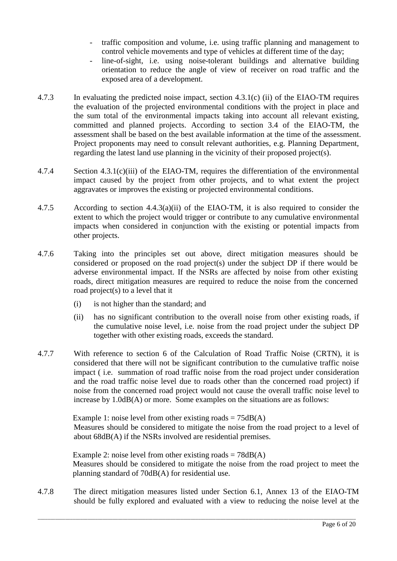- traffic composition and volume, i.e. using traffic planning and management to control vehicle movements and type of vehicles at different time of the day;
- line-of-sight, i.e. using noise-tolerant buildings and alternative building orientation to reduce the angle of view of receiver on road traffic and the exposed area of a development.
- 4.7.3 In evaluating the predicted noise impact, section 4.3.1(c) (ii) of the EIAO-TM requires the evaluation of the projected environmental conditions with the project in place and the sum total of the environmental impacts taking into account all relevant existing, committed and planned projects. According to section 3.4 of the EIAO-TM, the assessment shall be based on the best available information at the time of the assessment. Project proponents may need to consult relevant authorities, e.g. Planning Department, regarding the latest land use planning in the vicinity of their proposed project(s).
- 4.7.4 Section 4.3.1(c)(iii) of the EIAO-TM, requires the differentiation of the environmental impact caused by the project from other projects, and to what extent the project aggravates or improves the existing or projected environmental conditions.
- 4.7.5 According to section 4.4.3(a)(ii) of the EIAO-TM, it is also required to consider the extent to which the project would trigger or contribute to any cumulative environmental impacts when considered in conjunction with the existing or potential impacts from other projects.
- 4.7.6 Taking into the principles set out above, direct mitigation measures should be considered or proposed on the road project(s) under the subject DP if there would be adverse environmental impact. If the NSRs are affected by noise from other existing roads, direct mitigation measures are required to reduce the noise from the concerned road project(s) to a level that it
	- (i) is not higher than the standard; and
	- (ii) has no significant contribution to the overall noise from other existing roads, if the cumulative noise level, i.e. noise from the road project under the subject DP together with other existing roads, exceeds the standard.
- 4.7.7 With reference to section 6 of the Calculation of Road Traffic Noise (CRTN), it is considered that there will not be significant contribution to the cumulative traffic noise impact ( i.e. summation of road traffic noise from the road project under consideration and the road traffic noise level due to roads other than the concerned road project) if noise from the concerned road project would not cause the overall traffic noise level to increase by 1.0dB(A) or more. Some examples on the situations are as follows:

Example 1: noise level from other existing roads  $= 75dB(A)$ Measures should be considered to mitigate the noise from the road project to a level of about 68dB(A) if the NSRs involved are residential premises.

Example 2: noise level from other existing roads  $= 78 \text{dB}(A)$ Measures should be considered to mitigate the noise from the road project to meet the planning standard of 70dB(A) for residential use.

4.7.8 The direct mitigation measures listed under Section 6.1, Annex 13 of the EIAO-TM should be fully explored and evaluated with a view to reducing the noise level at the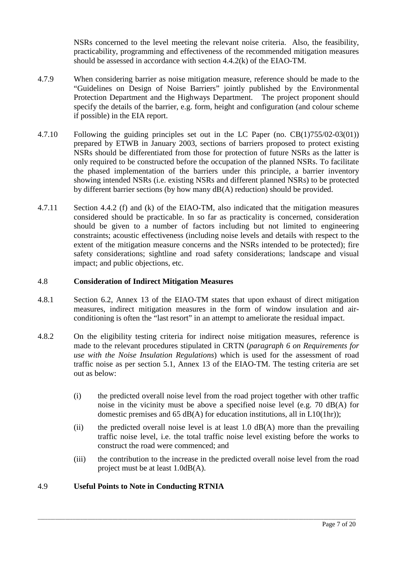NSRs concerned to the level meeting the relevant noise criteria. Also, the feasibility, practicability, programming and effectiveness of the recommended mitigation measures should be assessed in accordance with section 4.4.2(k) of the EIAO-TM.

- 4.7.9 When considering barrier as noise mitigation measure, reference should be made to the "Guidelines on Design of Noise Barriers" jointly published by the Environmental Protection Department and the Highways Department. The project proponent should specify the details of the barrier, e.g. form, height and configuration (and colour scheme if possible) in the EIA report.
- 4.7.10 Following the guiding principles set out in the LC Paper (no. CB(1)755/02-03(01)) prepared by ETWB in January 2003, sections of barriers proposed to protect existing NSRs should be differentiated from those for protection of future NSRs as the latter is only required to be constructed before the occupation of the planned NSRs. To facilitate the phased implementation of the barriers under this principle, a barrier inventory showing intended NSRs (i.e. existing NSRs and different planned NSRs) to be protected by different barrier sections (by how many dB(A) reduction) should be provided.
- 4.7.11 Section 4.4.2 (f) and (k) of the EIAO-TM, also indicated that the mitigation measures considered should be practicable. In so far as practicality is concerned, consideration should be given to a number of factors including but not limited to engineering constraints; acoustic effectiveness (including noise levels and details with respect to the extent of the mitigation measure concerns and the NSRs intended to be protected); fire safety considerations; sightline and road safety considerations; landscape and visual impact; and public objections, etc.

#### 4.8 **Consideration of Indirect Mitigation Measures**

- 4.8.1 Section 6.2, Annex 13 of the EIAO-TM states that upon exhaust of direct mitigation measures, indirect mitigation measures in the form of window insulation and airconditioning is often the "last resort" in an attempt to ameliorate the residual impact.
- 4.8.2 On the eligibility testing criteria for indirect noise mitigation measures, reference is made to the relevant procedures stipulated in CRTN (*paragraph 6 on Requirements for use with the Noise Insulation Regulations*) which is used for the assessment of road traffic noise as per section 5.1, Annex 13 of the EIAO-TM. The testing criteria are set out as below:
	- (i) the predicted overall noise level from the road project together with other traffic noise in the vicinity must be above a specified noise level (e.g. 70 dB(A) for domestic premises and 65 dB(A) for education institutions, all in L10(1hr));
	- (ii) the predicted overall noise level is at least  $1.0$  dB(A) more than the prevailing traffic noise level, i.e. the total traffic noise level existing before the works to construct the road were commenced; and
	- (iii) the contribution to the increase in the predicted overall noise level from the road project must be at least 1.0dB(A).

\_\_\_\_\_\_\_\_\_\_\_\_\_\_\_\_\_\_\_\_\_\_\_\_\_\_\_\_\_\_\_\_\_\_\_\_\_\_\_\_\_\_\_\_\_\_\_\_\_\_\_\_\_\_\_\_\_\_\_\_\_\_\_\_\_\_\_\_\_\_\_\_\_\_\_\_\_\_\_\_\_\_\_\_\_\_\_\_\_\_\_\_\_\_\_\_\_\_\_\_\_\_\_\_\_\_\_\_\_\_\_\_\_\_\_\_\_\_\_\_\_\_\_\_\_\_\_

## 4.9 **Useful Points to Note in Conducting RTNIA**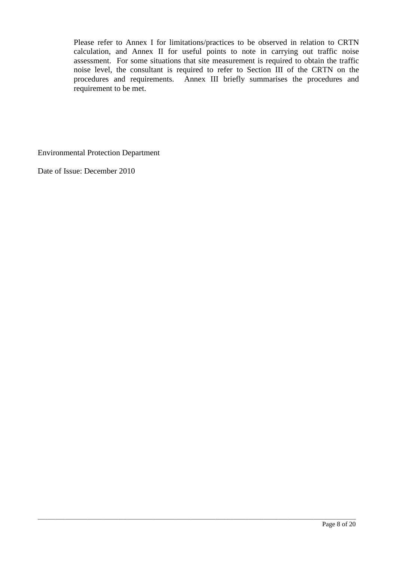Please refer to Annex I for limitations/practices to be observed in relation to CRTN calculation, and Annex II for useful points to note in carrying out traffic noise assessment. For some situations that site measurement is required to obtain the traffic noise level, the consultant is required to refer to Section III of the CRTN on the procedures and requirements. Annex III briefly summarises the procedures and requirement to be met.

\_\_\_\_\_\_\_\_\_\_\_\_\_\_\_\_\_\_\_\_\_\_\_\_\_\_\_\_\_\_\_\_\_\_\_\_\_\_\_\_\_\_\_\_\_\_\_\_\_\_\_\_\_\_\_\_\_\_\_\_\_\_\_\_\_\_\_\_\_\_\_\_\_\_\_\_\_\_\_\_\_\_\_\_\_\_\_\_\_\_\_\_\_\_\_\_\_\_\_\_\_\_\_\_\_\_\_\_\_\_\_\_\_\_\_\_\_\_\_\_\_\_\_\_\_\_\_

Environmental Protection Department

Date of Issue: December 2010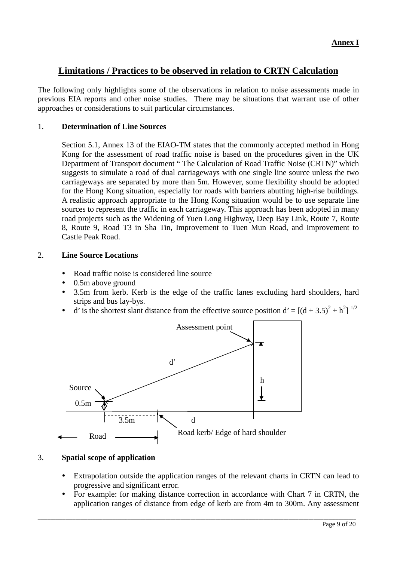## **Limitations / Practices to be observed in relation to CRTN Calculation**

The following only highlights some of the observations in relation to noise assessments made in previous EIA reports and other noise studies. There may be situations that warrant use of other approaches or considerations to suit particular circumstances.

#### 1. **Determination of Line Sources**

Section 5.1, Annex 13 of the EIAO-TM states that the commonly accepted method in Hong Kong for the assessment of road traffic noise is based on the procedures given in the UK Department of Transport document " The Calculation of Road Traffic Noise (CRTN)" which suggests to simulate a road of dual carriageways with one single line source unless the two carriageways are separated by more than 5m. However, some flexibility should be adopted for the Hong Kong situation, especially for roads with barriers abutting high-rise buildings. A realistic approach appropriate to the Hong Kong situation would be to use separate line sources to represent the traffic in each carriageway. This approach has been adopted in many road projects such as the Widening of Yuen Long Highway, Deep Bay Link, Route 7, Route 8, Route 9, Road T3 in Sha Tin, Improvement to Tuen Mun Road, and Improvement to Castle Peak Road.

#### 2. **Line Source Locations**

- Road traffic noise is considered line source
- 0.5m above ground
- 3.5m from kerb. Kerb is the edge of the traffic lanes excluding hard shoulders, hard strips and bus lay-bys.
- d' is the shortest slant distance from the effective source position d' =  $[(d + 3.5)^2 + h^2]$ <sup>1/2</sup>



#### 3. **Spatial scope of application**

- Extrapolation outside the application ranges of the relevant charts in CRTN can lead to progressive and significant error.
- For example: for making distance correction in accordance with Chart 7 in CRTN, the application ranges of distance from edge of kerb are from 4m to 300m. Any assessment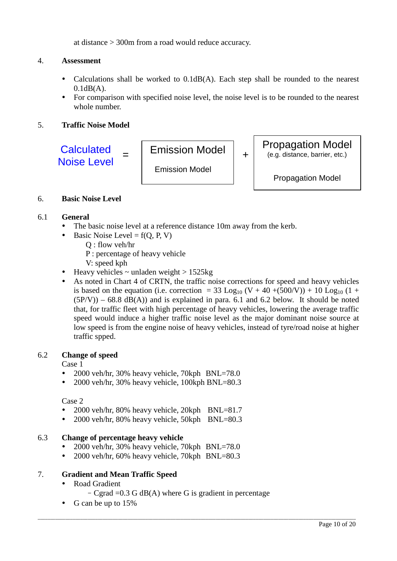at distance > 300m from a road would reduce accuracy.

### 4. **Assessment**

- Calculations shall be worked to 0.1dB(A). Each step shall be rounded to the nearest  $0.1dB(A)$ .
- For comparison with specified noise level, the noise level is to be rounded to the nearest whole number.

### 5. **Traffic Noise Model**



#### 6. **Basic Noise Level**

#### 6.1 **General**

- The basic noise level at a reference distance 10m away from the kerb.
- $\bullet$  Basic Noise Level = f(Q, P, V)
	- Q : flow veh/hr
	- P : percentage of heavy vehicle
	- V: speed kph
- Heavy vehicles  $\sim$  unladen weight  $> 1525$ kg
- As noted in Chart 4 of CRTN, the traffic noise corrections for speed and heavy vehicles is based on the equation (i.e. correction = 33 Log<sub>10</sub> (V + 40 +(500/V)) + 10 Log<sub>10</sub> (1 +  $(5P/V)$  – 68.8 dB(A)) and is explained in para. 6.1 and 6.2 below. It should be noted that, for traffic fleet with high percentage of heavy vehicles, lowering the average traffic speed would induce a higher traffic noise level as the major dominant noise source at low speed is from the engine noise of heavy vehicles, instead of tyre/road noise at higher traffic spped.

#### 6.2 **Change of speed**

Case 1

- 2000 veh/hr, 30% heavy vehicle, 70kph BNL=78.0
- 2000 veh/hr, 30% heavy vehicle, 100kph BNL=80.3

Case 2

- 2000 veh/hr, 80% heavy vehicle, 20kph BNL=81.7
- 2000 veh/hr, 80% heavy vehicle, 50kph BNL=80.3

### 6.3 **Change of percentage heavy vehicle**

- 2000 veh/hr, 30% heavy vehicle, 70kph  $BNL=78.0$
- 2000 veh/hr, 60% heavy vehicle, 70kph BNL=80.3

### 7. **Gradient and Mean Traffic Speed**

- Road Gradient
	- Cgrad  $=0.3$  G dB(A) where G is gradient in percentage

\_\_\_\_\_\_\_\_\_\_\_\_\_\_\_\_\_\_\_\_\_\_\_\_\_\_\_\_\_\_\_\_\_\_\_\_\_\_\_\_\_\_\_\_\_\_\_\_\_\_\_\_\_\_\_\_\_\_\_\_\_\_\_\_\_\_\_\_\_\_\_\_\_\_\_\_\_\_\_\_\_\_\_\_\_\_\_\_\_\_\_\_\_\_\_\_\_\_\_\_\_\_\_\_\_\_\_\_\_\_\_\_\_\_\_\_\_\_\_\_\_\_\_\_\_\_\_

• G can be up to 15%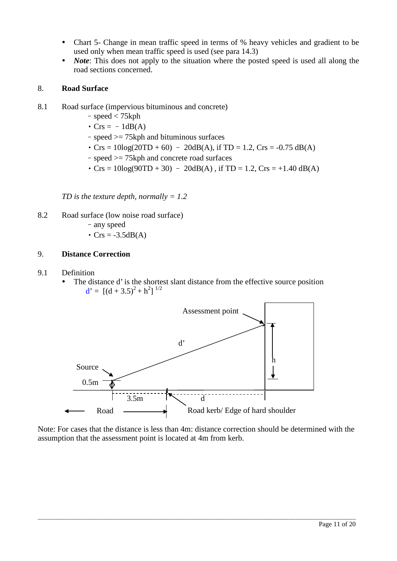- Chart 5- Change in mean traffic speed in terms of % heavy vehicles and gradient to be used only when mean traffic speed is used (see para 14.3)
- *Note*: This does not apply to the situation where the posted speed is used all along the road sections concerned.

#### 8. **Road Surface**

- 8.1 Road surface (impervious bituminous and concrete)
	- –speed < 75kph
	- $\cdot$  Crs =  $-1dB(A)$
	- –speed >= 75kph and bituminous surfaces
	- $Crs = 10\log(20TD + 60) 20dB(A)$ , if  $TD = 1.2$ ,  $Crs = -0.75 dB(A)$
	- –speed >= 75kph and concrete road surfaces
	- $Crs = 10\log(90TD + 30) 20dB(A)$ , if  $TD = 1.2$ ,  $Crs = +1.40 dB(A)$

*TD is the texture depth, normally = 1.2*

- 8.2 Road surface (low noise road surface)
	- –any speed
	- $Crs = -3.5dB(A)$

#### 9. **Distance Correction**

- 9.1 Definition
	- The distance d' is the shortest slant distance from the effective source position  $d' = [(d + 3.5)^2 + h^2]^{1/2}$



Note: For cases that the distance is less than 4m: distance correction should be determined with the assumption that the assessment point is located at 4m from kerb.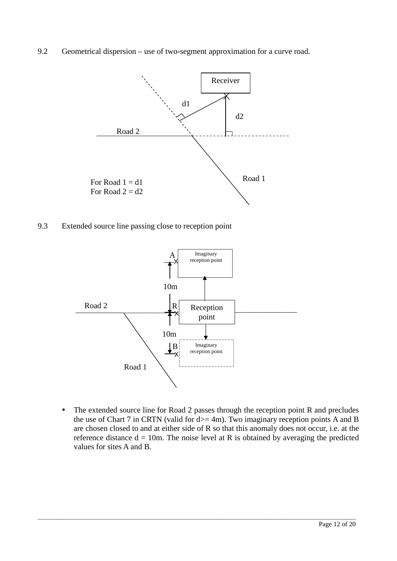9.2 Geometrical dispersion – use of two-segment approximation for a curve road.



9.3 Extended source line passing close to reception point



• The extended source line for Road 2 passes through the reception point R and precludes the use of Chart 7 in CRTN (valid for  $d = 4m$ ). Two imaginary reception points A and B are chosen closed to and at either side of R so that this anomaly does not occur, i.e. at the reference distance  $d = 10m$ . The noise level at R is obtained by averaging the predicted values for sites A and B.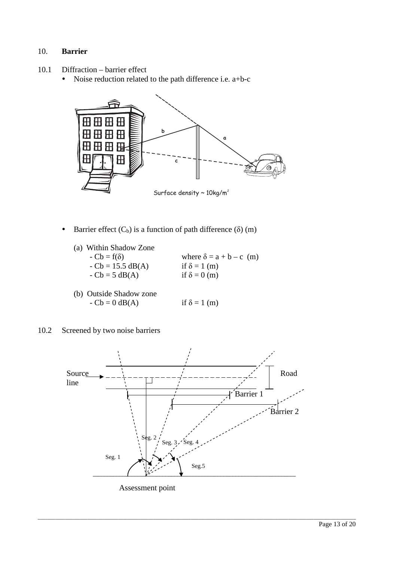### 10. **Barrier**

- 10.1 Diffraction barrier effect
	- Noise reduction related to the path difference i.e. a+b-c



- Barrier effect  $(C_b)$  is a function of path difference ( $\delta$ ) (m)
	- (a) Within Shadow Zone  $-Cb = f(\delta)$  where  $\delta = a + b - c$  (m)  $-Cb = 15.5$  dB(A) if  $\delta = 1$  (m)  $-$  Cb = 5 dB(A) if  $\delta = 0$  (m)
	- (b) Outside Shadow zone  $-Cb = 0$  dB(A) if  $\delta = 1$  (m)
- 10.2 Screened by two noise barriers

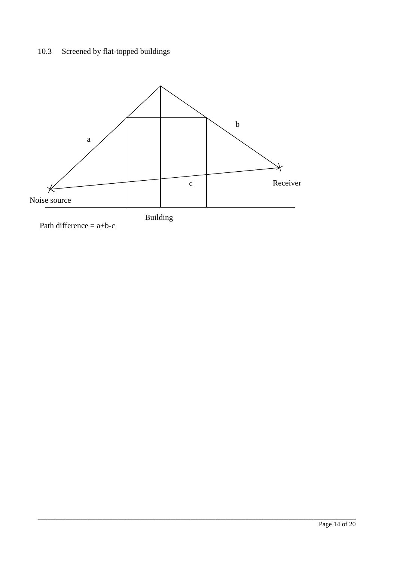# 10.3 Screened by flat-topped buildings

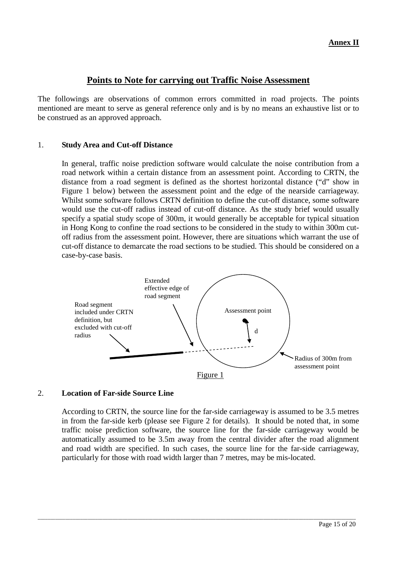## **Points to Note for carrying out Traffic Noise Assessment**

The followings are observations of common errors committed in road projects. The points mentioned are meant to serve as general reference only and is by no means an exhaustive list or to be construed as an approved approach.

### 1. **Study Area and Cut-off Distance**

In general, traffic noise prediction software would calculate the noise contribution from a road network within a certain distance from an assessment point. According to CRTN, the distance from a road segment is defined as the shortest horizontal distance ("d" show in Figure 1 below) between the assessment point and the edge of the nearside carriageway. Whilst some software follows CRTN definition to define the cut-off distance, some software would use the cut-off radius instead of cut-off distance. As the study brief would usually specify a spatial study scope of 300m, it would generally be acceptable for typical situation in Hong Kong to confine the road sections to be considered in the study to within 300m cutoff radius from the assessment point. However, there are situations which warrant the use of cut-off distance to demarcate the road sections to be studied. This should be considered on a case-by-case basis.



### 2. **Location of Far-side Source Line**

According to CRTN, the source line for the far-side carriageway is assumed to be 3.5 metres in from the far-side kerb (please see Figure 2 for details). It should be noted that, in some traffic noise prediction software, the source line for the far-side carriageway would be automatically assumed to be 3.5m away from the central divider after the road alignment and road width are specified. In such cases, the source line for the far-side carriageway, particularly for those with road width larger than 7 metres, may be mis-located.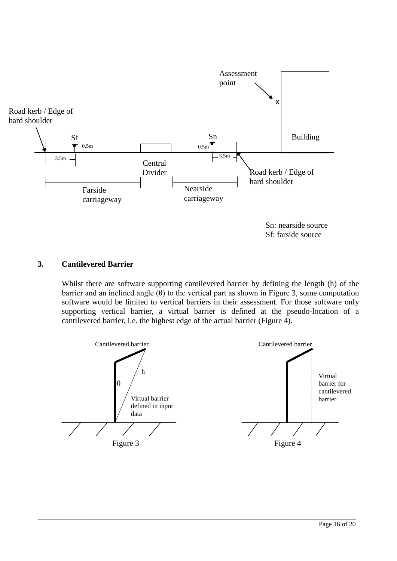

Sf: farside source

## **3. Cantilevered Barrier**

Whilst there are software supporting cantilevered barrier by defining the length (h) of the barrier and an inclined angle  $(\theta)$  to the vertical part as shown in Figure 3, some computation software would be limited to vertical barriers in their assessment. For those software only supporting vertical barrier, a virtual barrier is defined at the pseudo-location of a cantilevered barrier, i.e. the highest edge of the actual barrier (Figure 4).

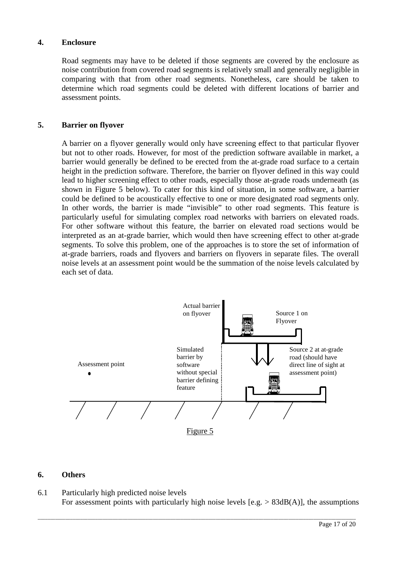#### **4. Enclosure**

Road segments may have to be deleted if those segments are covered by the enclosure as noise contribution from covered road segments is relatively small and generally negligible in comparing with that from other road segments. Nonetheless, care should be taken to determine which road segments could be deleted with different locations of barrier and assessment points.

#### **5. Barrier on flyover**

A barrier on a flyover generally would only have screening effect to that particular flyover but not to other roads. However, for most of the prediction software available in market, a barrier would generally be defined to be erected from the at-grade road surface to a certain height in the prediction software. Therefore, the barrier on flyover defined in this way could lead to higher screening effect to other roads, especially those at-grade roads underneath (as shown in Figure 5 below). To cater for this kind of situation, in some software, a barrier could be defined to be acoustically effective to one or more designated road segments only. In other words, the barrier is made "invisible" to other road segments. This feature is particularly useful for simulating complex road networks with barriers on elevated roads. For other software without this feature, the barrier on elevated road sections would be interpreted as an at-grade barrier, which would then have screening effect to other at-grade segments. To solve this problem, one of the approaches is to store the set of information of at-grade barriers, roads and flyovers and barriers on flyovers in separate files. The overall noise levels at an assessment point would be the summation of the noise levels calculated by each set of data.



#### **6. Others**

6.1 Particularly high predicted noise levels For assessment points with particularly high noise levels  $[e.g. > 83dB(A)]$ , the assumptions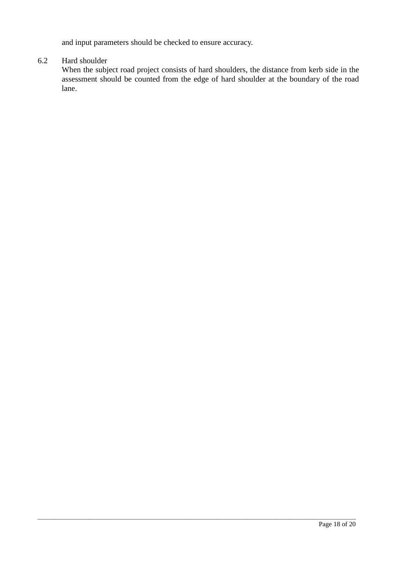and input parameters should be checked to ensure accuracy.

#### 6.2 Hard shoulder

When the subject road project consists of hard shoulders, the distance from kerb side in the assessment should be counted from the edge of hard shoulder at the boundary of the road lane.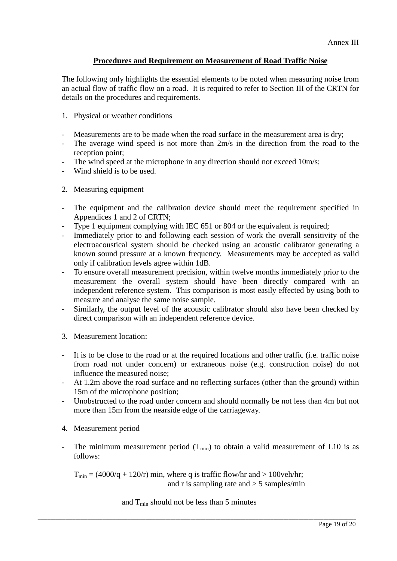## **Procedures and Requirement on Measurement of Road Traffic Noise**

The following only highlights the essential elements to be noted when measuring noise from an actual flow of traffic flow on a road. It is required to refer to Section III of the CRTN for details on the procedures and requirements.

- 1. Physical or weather conditions
- Measurements are to be made when the road surface in the measurement area is dry;
- The average wind speed is not more than 2m/s in the direction from the road to the reception point;
- The wind speed at the microphone in any direction should not exceed 10m/s;
- Wind shield is to be used.
- 2. Measuring equipment
- The equipment and the calibration device should meet the requirement specified in Appendices 1 and 2 of CRTN;
- Type 1 equipment complying with IEC 651 or 804 or the equivalent is required;
- Immediately prior to and following each session of work the overall sensitivity of the electroacoustical system should be checked using an acoustic calibrator generating a known sound pressure at a known frequency. Measurements may be accepted as valid only if calibration levels agree within 1dB.
- To ensure overall measurement precision, within twelve months immediately prior to the measurement the overall system should have been directly compared with an independent reference system. This comparison is most easily effected by using both to measure and analyse the same noise sample.
- Similarly, the output level of the acoustic calibrator should also have been checked by direct comparison with an independent reference device.
- 3. Measurement location:
- It is to be close to the road or at the required locations and other traffic (i.e. traffic noise from road not under concern) or extraneous noise (e.g. construction noise) do not influence the measured noise;
- At 1.2m above the road surface and no reflecting surfaces (other than the ground) within 15m of the microphone position;
- Unobstructed to the road under concern and should normally be not less than 4m but not more than 15m from the nearside edge of the carriageway.
- 4. Measurement period
- The minimum measurement period  $(T_{min})$  to obtain a valid measurement of L10 is as follows:

 $T_{\text{min}} = (4000/q + 120/r)$  min, where q is traffic flow/hr and  $> 100$ veh/hr; and r is sampling rate and  $>$  5 samples/min

and  $T_{\text{min}}$  should not be less than 5 minutes